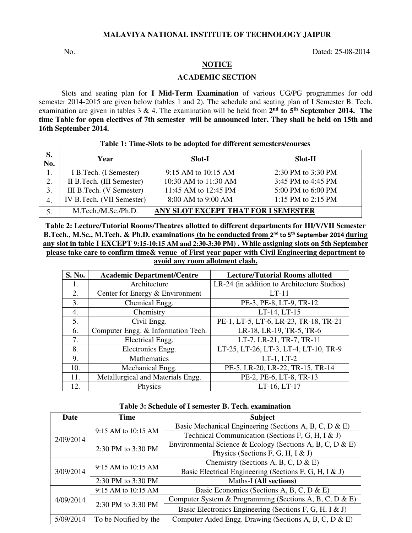### **MALAVIYA NATIONAL INSTITUTE OF TECHNOLOGY JAIPUR**

No. Dated: 25-08-2014

# **NOTICE**

### **ACADEMIC SECTION**

Slots and seating plan for **I Mid-Term Examination** of various UG/PG programmes for odd semester 2014-2015 are given below (tables 1 and 2). The schedule and seating plan of I Semester B. Tech. examination are given in tables  $3 \& 4$ . The examination will be held from  $2<sup>nd</sup>$  to  $5<sup>th</sup>$  September 2014. The **time Table for open electives of 7th semester will be announced later. They shall be held on 15th and 16th September 2014.** 

## **Table 1: Time-Slots to be adopted for different semesters/courses**

| S.<br>No. | Year                       | Slot-I                              | <b>Slot-II</b>     |  |
|-----------|----------------------------|-------------------------------------|--------------------|--|
| 1.        | I B. Tech. (I Semester)    | 9:15 AM to 10:15 AM                 | 2:30 PM to 3:30 PM |  |
| 2.        | II B. Tech. (III Semester) | 10:30 AM to 11:30 AM                | 3:45 PM to 4:45 PM |  |
| 3.        | III B.Tech. (V Semester)   | 11:45 AM to 12:45 PM                | 5:00 PM to 6:00 PM |  |
|           | IV B.Tech. (VII Semester)  | 8:00 AM to 9:00 AM                  | 1:15 PM to 2:15 PM |  |
| 5.        | M.Tech./M.Sc./Ph.D.        | ANY SLOT EXCEPT THAT FOR I SEMESTER |                    |  |

**Table 2: Lecture/Tutorial Rooms/Theatres allotted to different departments for III/V/VII Semester B.Tech., M.Sc., M.Tech. & Ph.D. examinations (to be conducted from** 2 nd to 5th September 2014 **during any slot in table I EXCEPT 9:15-10:15 AM and 2:30-3:30 PM) . While assigning slots on 5th September please take care to confirm time& venue of First year paper with Civil Engineering department to avoid any room allotment clash.** 

| S. No. | <b>Academic Department/Centre</b>  | <b>Lecture/Tutorial Rooms allotted</b>      |
|--------|------------------------------------|---------------------------------------------|
| 1.     | Architecture                       | LR-24 (in addition to Architecture Studios) |
| 2.     | Center for Energy & Environment    | $LT-11$                                     |
| 3.     | Chemical Engg.                     | PE-3, PE-8, LT-9, TR-12                     |
| 4.     | Chemistry                          | LT-14, LT-15                                |
| 5.     | Civil Engg.                        | PE-1, LT-5, LT-6, LR-23, TR-18, TR-21       |
| 6.     | Computer Engg. & Information Tech. | LR-18, LR-19, TR-5, TR-6                    |
| 7.     | Electrical Engg.                   | LT-7, LR-21, TR-7, TR-11                    |
| 8.     | Electronics Engg.                  | LT-25, LT-26, LT-3, LT-4, LT-10, TR-9       |
| 9.     | Mathematics                        | $LT-1$ , $LT-2$                             |
| 10.    | Mechanical Engg.                   | PE-5, LR-20, LR-22, TR-15, TR-14            |
| 11.    | Metallurgical and Materials Engg.  | PE-2, PE-6, LT-8, TR-13                     |
| 12.    | Physics                            | LT-16, LT-17                                |

#### **Table 3: Schedule of I semester B. Tech. examination**

| Date      | Time                  | <b>Subject</b>                                            |  |
|-----------|-----------------------|-----------------------------------------------------------|--|
|           | 9:15 AM to 10:15 AM   | Basic Mechanical Engineering (Sections A, B, C, D & E)    |  |
| 2/09/2014 |                       | Technical Communication (Sections F, G, H, I & J)         |  |
|           | 2:30 PM to 3:30 PM    | Environmental Science & Ecology (Sections A, B, C, D & E) |  |
|           |                       | Physics (Sections F, G, H, I & J)                         |  |
|           | 9:15 AM to 10:15 AM   | Chemistry (Sections A, B, C, D & E)                       |  |
| 3/09/2014 |                       | Basic Electrical Engineering (Sections F, G, H, I & J)    |  |
|           | 2:30 PM to 3:30 PM    | <b>Maths-I</b> (All sections)                             |  |
|           | 9:15 AM to 10:15 AM   | Basic Economics (Sections A, B, C, D & E)                 |  |
| 4/09/2014 | 2:30 PM to 3:30 PM    | Computer System & Programming (Sections A, B, C, D & E)   |  |
|           |                       | Basic Electronics Engineering (Sections F, G, H, I & J)   |  |
| 5/09/2014 | To be Notified by the | Computer Aided Engg. Drawing (Sections A, B, C, D & E)    |  |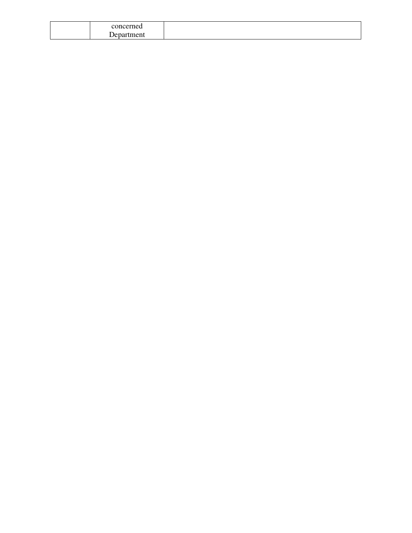| concerned       |  |
|-----------------|--|
| rtment<br>Jenat |  |